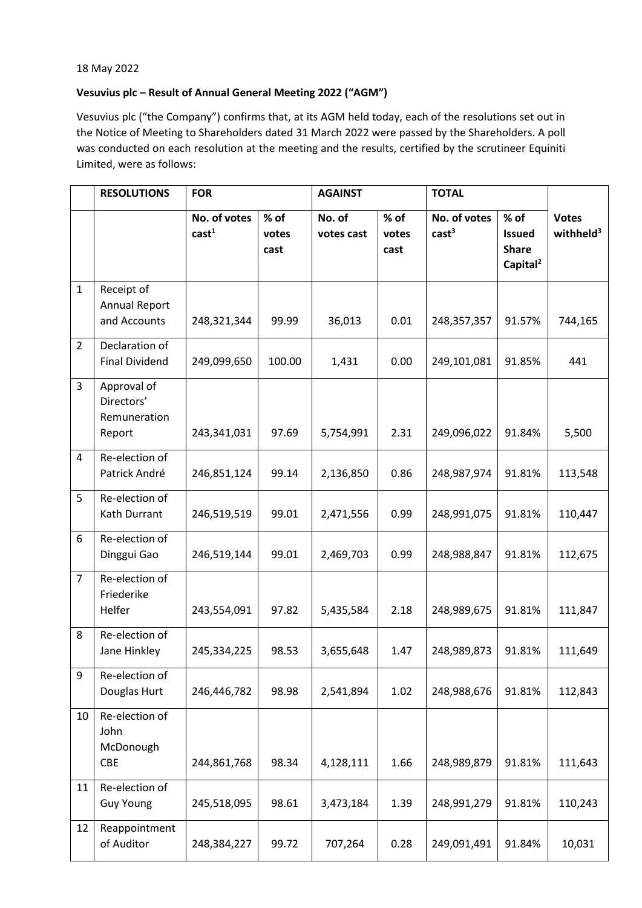# 18 May 2022

# **Vesuvius plc – Result of Annual General Meeting 2022 ("AGM")**

Vesuvius plc ("the Company") confirms that, at its AGM held today, each of the resolutions set out in the Notice of Meeting to Shareholders dated 31 March 2022 were passed by the Shareholders. A poll was conducted on each resolution at the meeting and the results, certified by the scrutineer Equiniti Limited, were as follows:

|                | <b>RESOLUTIONS</b>                                  | <b>FOR</b>                        |                       | <b>AGAINST</b>       |                       | <b>TOTAL</b>                      |                                                               |                              |
|----------------|-----------------------------------------------------|-----------------------------------|-----------------------|----------------------|-----------------------|-----------------------------------|---------------------------------------------------------------|------------------------------|
|                |                                                     | No. of votes<br>cast <sup>1</sup> | % of<br>votes<br>cast | No. of<br>votes cast | % of<br>votes<br>cast | No. of votes<br>cast <sup>3</sup> | % of<br><b>Issued</b><br><b>Share</b><br>Capital <sup>2</sup> | <b>Votes</b><br>withheld $3$ |
| $\mathbf{1}$   | Receipt of<br><b>Annual Report</b><br>and Accounts  | 248,321,344                       | 99.99                 | 36,013               | 0.01                  | 248, 357, 357                     | 91.57%                                                        | 744,165                      |
| $\overline{2}$ | Declaration of<br><b>Final Dividend</b>             | 249,099,650                       | 100.00                | 1,431                | 0.00                  | 249,101,081                       | 91.85%                                                        | 441                          |
| 3              | Approval of<br>Directors'<br>Remuneration<br>Report | 243,341,031                       | 97.69                 | 5,754,991            | 2.31                  | 249,096,022                       | 91.84%                                                        | 5,500                        |
| 4              | Re-election of<br>Patrick André                     | 246,851,124                       | 99.14                 | 2,136,850            | 0.86                  | 248,987,974                       | 91.81%                                                        | 113,548                      |
| 5              | Re-election of<br>Kath Durrant                      | 246,519,519                       | 99.01                 | 2,471,556            | 0.99                  | 248,991,075                       | 91.81%                                                        | 110,447                      |
| 6              | Re-election of<br>Dinggui Gao                       | 246,519,144                       | 99.01                 | 2,469,703            | 0.99                  | 248,988,847                       | 91.81%                                                        | 112,675                      |
| $\overline{7}$ | Re-election of<br>Friederike<br>Helfer              | 243,554,091                       | 97.82                 | 5,435,584            | 2.18                  | 248,989,675                       | 91.81%                                                        | 111,847                      |
| 8              | Re-election of<br>Jane Hinkley                      | 245,334,225                       | 98.53                 | 3,655,648            | 1.47                  | 248,989,873                       | 91.81%                                                        | 111,649                      |
| 9              | Re-election of<br>Douglas Hurt                      | 246,446,782                       | 98.98                 | 2,541,894            | 1.02                  | 248,988,676                       | 91.81%                                                        | 112,843                      |
| 10             | Re-election of<br>John<br>McDonough<br><b>CBE</b>   | 244,861,768                       | 98.34                 | 4,128,111            | 1.66                  | 248,989,879                       | 91.81%                                                        | 111,643                      |
| 11             | Re-election of<br><b>Guy Young</b>                  | 245,518,095                       | 98.61                 | 3,473,184            | 1.39                  | 248,991,279                       | 91.81%                                                        | 110,243                      |
| 12             | Reappointment<br>of Auditor                         | 248,384,227                       | 99.72                 | 707,264              | 0.28                  | 249,091,491                       | 91.84%                                                        | 10,031                       |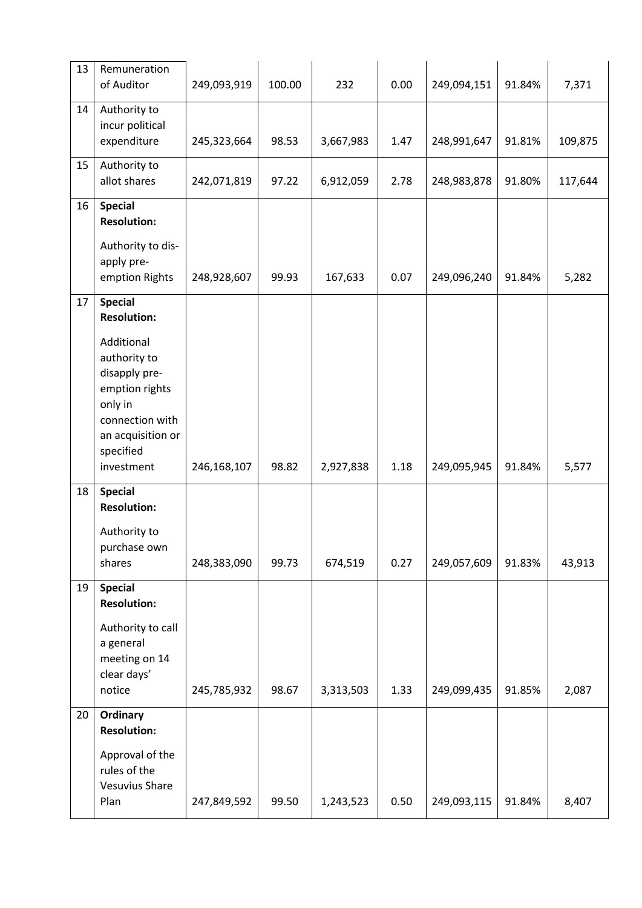| 13 | Remuneration<br>of Auditor                                                                                       | 249,093,919 | 100.00 | 232       | 0.00 | 249,094,151 | 91.84% | 7,371   |
|----|------------------------------------------------------------------------------------------------------------------|-------------|--------|-----------|------|-------------|--------|---------|
| 14 | Authority to<br>incur political<br>expenditure                                                                   | 245,323,664 | 98.53  | 3,667,983 | 1.47 | 248,991,647 | 91.81% | 109,875 |
| 15 | Authority to<br>allot shares                                                                                     | 242,071,819 | 97.22  | 6,912,059 | 2.78 | 248,983,878 | 91.80% | 117,644 |
| 16 | <b>Special</b><br><b>Resolution:</b>                                                                             |             |        |           |      |             |        |         |
|    | Authority to dis-<br>apply pre-                                                                                  |             |        |           |      |             |        |         |
|    | emption Rights                                                                                                   | 248,928,607 | 99.93  | 167,633   | 0.07 | 249,096,240 | 91.84% | 5,282   |
| 17 | <b>Special</b><br><b>Resolution:</b>                                                                             |             |        |           |      |             |        |         |
|    | Additional<br>authority to<br>disapply pre-<br>emption rights<br>only in<br>connection with<br>an acquisition or |             |        |           |      |             |        |         |
|    | specified<br>investment                                                                                          | 246,168,107 | 98.82  | 2,927,838 | 1.18 | 249,095,945 | 91.84% | 5,577   |
| 18 | <b>Special</b><br><b>Resolution:</b>                                                                             |             |        |           |      |             |        |         |
|    | Authority to<br>purchase own                                                                                     |             |        |           |      |             |        |         |
|    | shares                                                                                                           | 248,383,090 | 99.73  | 674,519   | 0.27 | 249,057,609 | 91.83% | 43,913  |
| 19 | <b>Special</b><br><b>Resolution:</b><br>Authority to call<br>a general<br>meeting on 14<br>clear days'           |             |        |           |      |             |        |         |
|    | notice                                                                                                           | 245,785,932 | 98.67  | 3,313,503 | 1.33 | 249,099,435 | 91.85% | 2,087   |
| 20 | Ordinary<br><b>Resolution:</b><br>Approval of the<br>rules of the<br><b>Vesuvius Share</b>                       |             |        |           |      |             |        |         |
|    | Plan                                                                                                             | 247,849,592 | 99.50  | 1,243,523 | 0.50 | 249,093,115 | 91.84% | 8,407   |